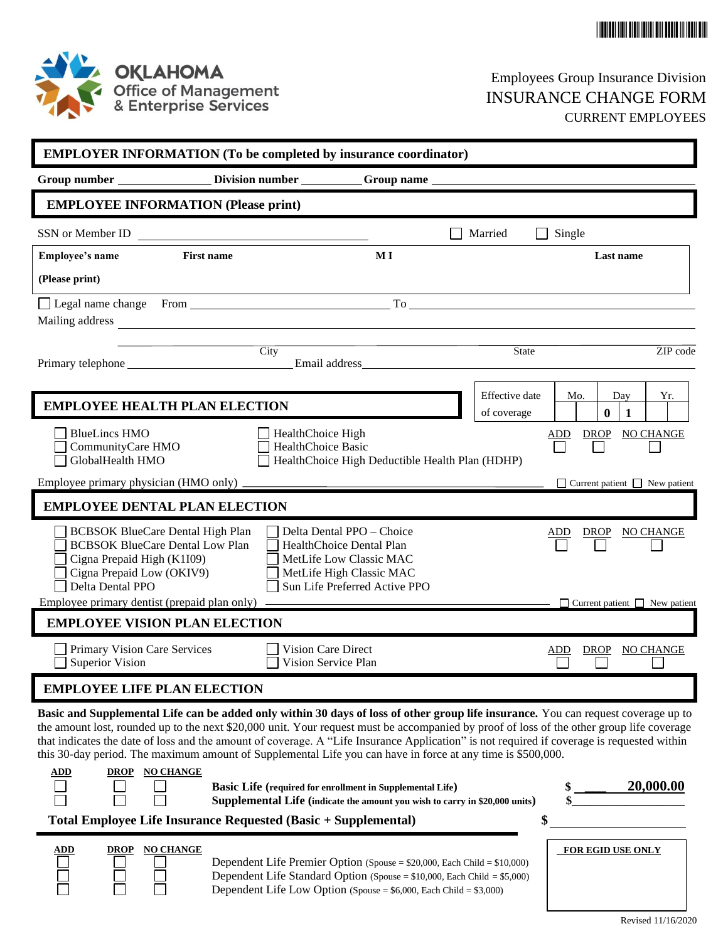



# Employees Group Insurance Division INSURANCE CHANGE FORM CURRENT EMPLOYEES

| <b>EMPLOYER INFORMATION (To be completed by insurance coordinator)</b>                                                                                                                                                                                                                  |                                                                                                                                                      |                                                           |                |                        |                                           |                    |  |
|-----------------------------------------------------------------------------------------------------------------------------------------------------------------------------------------------------------------------------------------------------------------------------------------|------------------------------------------------------------------------------------------------------------------------------------------------------|-----------------------------------------------------------|----------------|------------------------|-------------------------------------------|--------------------|--|
| Group number ____________________Division number ____________Group name ____________________________                                                                                                                                                                                    |                                                                                                                                                      |                                                           |                |                        |                                           |                    |  |
| <b>EMPLOYEE INFORMATION (Please print)</b>                                                                                                                                                                                                                                              |                                                                                                                                                      |                                                           |                |                        |                                           |                    |  |
| SSN or Member ID                                                                                                                                                                                                                                                                        | <u> 1989 - Andrea Andrew Maria (h. 1989).</u>                                                                                                        |                                                           | Married        | Single<br>$\mathsf{L}$ |                                           |                    |  |
| <b>First name</b><br><b>Employee's name</b>                                                                                                                                                                                                                                             |                                                                                                                                                      | MI                                                        |                |                        | Last name                                 |                    |  |
| (Please print)                                                                                                                                                                                                                                                                          |                                                                                                                                                      |                                                           |                |                        |                                           |                    |  |
|                                                                                                                                                                                                                                                                                         |                                                                                                                                                      |                                                           |                |                        |                                           |                    |  |
|                                                                                                                                                                                                                                                                                         |                                                                                                                                                      |                                                           |                |                        |                                           |                    |  |
| the control of the control of the control of the control of                                                                                                                                                                                                                             | $\overline{\mathrm{City}}$                                                                                                                           |                                                           |                | State                  |                                           | ZIP code           |  |
|                                                                                                                                                                                                                                                                                         |                                                                                                                                                      |                                                           |                |                        |                                           |                    |  |
| <b>EMPLOYEE HEALTH PLAN ELECTION</b>                                                                                                                                                                                                                                                    |                                                                                                                                                      |                                                           | Effective date | Mo.                    | Day                                       | Yr.                |  |
| <b>BlueLincs HMO</b>                                                                                                                                                                                                                                                                    |                                                                                                                                                      |                                                           | of coverage    |                        | $\bf{0}$<br>1                             |                    |  |
| CommunityCare HMO                                                                                                                                                                                                                                                                       | HealthChoice High<br><b>HealthChoice Basic</b>                                                                                                       |                                                           |                |                        |                                           | ADD DROP NO CHANGE |  |
| GlobalHealth HMO                                                                                                                                                                                                                                                                        |                                                                                                                                                      | HealthChoice High Deductible Health Plan (HDHP)           |                |                        |                                           |                    |  |
| Employee primary physician (HMO only) _                                                                                                                                                                                                                                                 |                                                                                                                                                      |                                                           |                |                        | $\Box$ Current patient $\Box$ New patient |                    |  |
| <b>EMPLOYEE DENTAL PLAN ELECTION</b>                                                                                                                                                                                                                                                    |                                                                                                                                                      |                                                           |                |                        |                                           |                    |  |
| <b>BCBSOK BlueCare Dental High Plan</b><br><b>BCBSOK BlueCare Dental Low Plan</b>                                                                                                                                                                                                       |                                                                                                                                                      | Delta Dental PPO - Choice<br>HealthChoice Dental Plan     |                | ADD                    |                                           | DROP NO CHANGE     |  |
| Cigna Prepaid High (K1I09)                                                                                                                                                                                                                                                              |                                                                                                                                                      | MetLife Low Classic MAC                                   |                |                        |                                           |                    |  |
| Cigna Prepaid Low (OKIV9)<br>Delta Dental PPO                                                                                                                                                                                                                                           |                                                                                                                                                      | MetLife High Classic MAC<br>Sun Life Preferred Active PPO |                |                        |                                           |                    |  |
| Employee primary dentist (prepaid plan only) –                                                                                                                                                                                                                                          |                                                                                                                                                      |                                                           |                |                        | $\Box$ Current patient $\Box$ New patient |                    |  |
| <b>EMPLOYEE VISION PLAN ELECTION</b>                                                                                                                                                                                                                                                    |                                                                                                                                                      |                                                           |                |                        |                                           |                    |  |
| Primary Vision Care Services                                                                                                                                                                                                                                                            |                                                                                                                                                      | <b>Vision Care Direct</b>                                 |                | ADD                    | <b>DROP</b>                               | NO CHANGE          |  |
| <b>Superior Vision</b>                                                                                                                                                                                                                                                                  |                                                                                                                                                      | Vision Service Plan                                       |                |                        |                                           |                    |  |
| <b>EMPLOYEE LIFE PLAN ELECTION</b>                                                                                                                                                                                                                                                      |                                                                                                                                                      |                                                           |                |                        |                                           |                    |  |
| Basic and Supplemental Life can be added only within 30 days of loss of other group life insurance. You can request coverage up to                                                                                                                                                      |                                                                                                                                                      |                                                           |                |                        |                                           |                    |  |
| the amount lost, rounded up to the next \$20,000 unit. Your request must be accompanied by proof of loss of the other group life coverage<br>that indicates the date of loss and the amount of coverage. A "Life Insurance Application" is not required if coverage is requested within |                                                                                                                                                      |                                                           |                |                        |                                           |                    |  |
| this 30-day period. The maximum amount of Supplemental Life you can have in force at any time is \$500,000.                                                                                                                                                                             |                                                                                                                                                      |                                                           |                |                        |                                           |                    |  |
| <b>DROP NO CHANGE</b><br><u>ADD</u>                                                                                                                                                                                                                                                     | <b>Basic Life</b> (required for enrollment in Supplemental Life)                                                                                     |                                                           |                |                        |                                           | <u>20,000.00</u>   |  |
|                                                                                                                                                                                                                                                                                         | Supplemental Life (indicate the amount you wish to carry in \$20,000 units)                                                                          |                                                           |                |                        |                                           |                    |  |
| Total Employee Life Insurance Requested (Basic + Supplemental)                                                                                                                                                                                                                          |                                                                                                                                                      |                                                           |                | \$                     |                                           |                    |  |
| <b>NO CHANGE</b><br><b>ADD</b><br><u>DROP</u>                                                                                                                                                                                                                                           |                                                                                                                                                      |                                                           |                |                        | <b>FOR EGID USE ONLY</b>                  |                    |  |
|                                                                                                                                                                                                                                                                                         | Dependent Life Premier Option (Spouse = \$20,000, Each Child = \$10,000)<br>Dependent Life Standard Option (Spouse = \$10,000, Each Child = \$5,000) |                                                           |                |                        |                                           |                    |  |
|                                                                                                                                                                                                                                                                                         | Dependent Life Low Option (Spouse = $$6,000$ , Each Child = $$3,000$ )                                                                               |                                                           |                |                        |                                           |                    |  |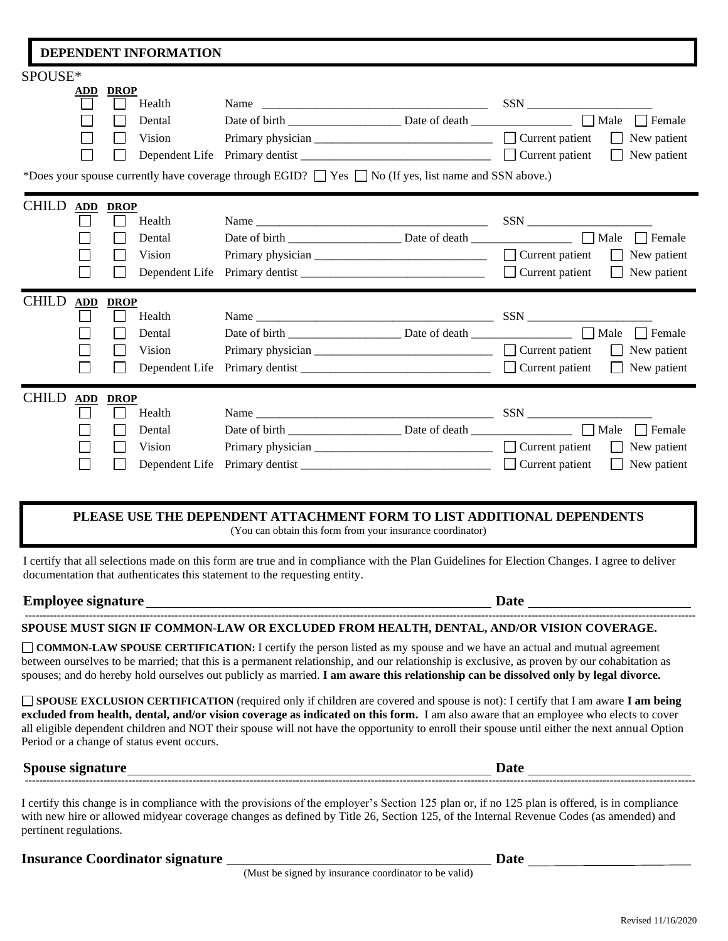### **DEPENDENT INFORMATION** SPOUSE\* **ADD DROP** Health Name \_\_\_\_\_\_\_\_\_\_\_\_\_\_\_\_\_\_\_\_\_\_\_\_\_\_\_\_\_\_\_\_\_\_\_\_\_\_ SSN \_\_\_\_\_\_\_\_\_\_\_\_\_\_\_\_\_\_\_\_\_ Dental Date of birth Date of death Date of death  $\Box$  Male  $\Box$  Female Vision Primary physician \_\_\_\_\_\_\_\_\_\_\_\_\_\_\_\_\_\_\_\_\_\_\_\_\_\_\_\_\_ Current patient New patient Dependent Life Primary dentist  $\Box$  Current patient  $\Box$  New patient \*Does your spouse currently have coverage through EGID?  $\Box$  Yes  $\Box$  No (If yes, list name and SSN above.) CHILD **ADD DROP**  $\Box$  Health Name  $\Box$  Name  $\Box$  Dental Date of birth \_\_\_\_\_\_\_\_\_\_\_\_\_\_\_\_\_\_\_ Date of death \_\_\_\_\_\_\_\_\_\_\_\_\_\_\_\_\_ Male Female П П Vision Primary physician \_\_\_\_\_\_\_\_\_\_\_\_\_\_\_\_\_\_\_\_\_\_\_\_\_\_\_\_\_\_\_\_\_ Current patient  $\Box$  New patient Dependent Life Primary dentist \_\_\_\_\_\_\_\_\_\_\_\_\_\_\_\_\_\_\_\_\_\_\_\_\_\_\_\_\_\_\_ Current patient New patient П CHILD **ADD DROP**  $\Box$  Health  $\Box$  Name  $\Box$  SSN  $\Box$  $\Box$ Dental Date of birth Date of birth Date of death  $\Box$  Male  $\Box$  Female  $\Box$ Vision Primary physician  $\Box$   $\Box$  Current patient  $\Box$  New patient П Dependent Life Primary dentist  $\Box$  Current patient  $\Box$  New patient CHILD **ADD DROP**  $\Box$  Health Name  $\Box$  Name  $\Box$  $\Box$  Dental Date of birth \_\_\_\_\_\_\_\_\_\_\_\_\_\_\_\_\_\_\_ Date of death \_\_\_\_\_\_\_\_\_\_\_\_\_\_\_\_\_ Male Female  $\Box$  Vision Primary physician  $\Box$  Current patient  $\Box$  New patient Dependent Life Primary dentist  $\Box$  Current patient  $\Box$  New patient

## **PLEASE USE THE DEPENDENT ATTACHMENT FORM TO LIST ADDITIONAL DEPENDENTS**

(You can obtain this form from your insurance coordinator)

I certify that all selections made on this form are true and in compliance with the Plan Guidelines for Election Changes. I agree to deliver documentation that authenticates this statement to the requesting entity.

## **Employee signature Date**

l

#### -------------------------------------------------------------------------------------------------------------------------------------------------------------------------------------------- **SPOUSE MUST SIGN IF COMMON-LAW OR EXCLUDED FROM HEALTH, DENTAL, AND/OR VISION COVERAGE.**

**COMMON-LAW SPOUSE CERTIFICATION:** I certify the person listed as my spouse and we have an actual and mutual agreement between ourselves to be married; that this is a permanent relationship, and our relationship is exclusive, as proven by our cohabitation as spouses; and do hereby hold ourselves out publicly as married. **I am aware this relationship can be dissolved only by legal divorce.**

**SPOUSE EXCLUSION CERTIFICATION** (required only if children are covered and spouse is not): I certify that I am aware **I am being excluded from health, dental, and/or vision coverage as indicated on this form.** I am also aware that an employee who elects to cover all eligible dependent children and NOT their spouse will not have the opportunity to enroll their spouse until either the next annual Option Period or a change of status event occurs.

**Spouse** signature **Date** --------------------------------------------------------------------------------------------------------------------------------------------------------------------------------------------

I certify this change is in compliance with the provisions of the employer's Section 125 plan or, if no 125 plan is offered, is in compliance with new hire or allowed midyear coverage changes as defined by Title 26, Section 125, of the Internal Revenue Codes (as amended) and pertinent regulations.

**Insurance Coordinator signature Date**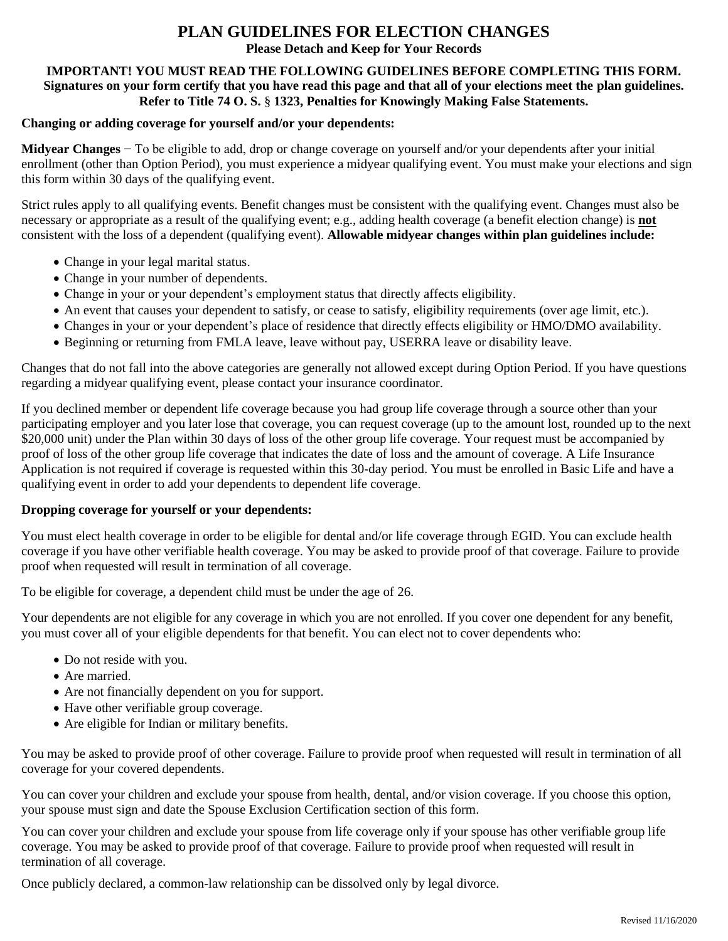# **PLAN GUIDELINES FOR ELECTION CHANGES**

**Please Detach and Keep for Your Records**

## **IMPORTANT! YOU MUST READ THE FOLLOWING GUIDELINES BEFORE COMPLETING THIS FORM. Signatures on your form certify that you have read this page and that all of your elections meet the plan guidelines. Refer to Title 74 O. S.** § **1323, Penalties for Knowingly Making False Statements.**

## **Changing or adding coverage for yourself and/or your dependents:**

**Midyear Changes** − To be eligible to add, drop or change coverage on yourself and/or your dependents after your initial enrollment (other than Option Period), you must experience a midyear qualifying event. You must make your elections and sign this form within 30 days of the qualifying event.

Strict rules apply to all qualifying events. Benefit changes must be consistent with the qualifying event. Changes must also be necessary or appropriate as a result of the qualifying event; e.g., adding health coverage (a benefit election change) is **not** consistent with the loss of a dependent (qualifying event). **Allowable midyear changes within plan guidelines include:**

- Change in your legal marital status.
- Change in your number of dependents.
- Change in your or your dependent's employment status that directly affects eligibility.
- An event that causes your dependent to satisfy, or cease to satisfy, eligibility requirements (over age limit, etc.).
- Changes in your or your dependent's place of residence that directly effects eligibility or HMO/DMO availability.
- Beginning or returning from FMLA leave, leave without pay, USERRA leave or disability leave.

Changes that do not fall into the above categories are generally not allowed except during Option Period. If you have questions regarding a midyear qualifying event, please contact your insurance coordinator.

If you declined member or dependent life coverage because you had group life coverage through a source other than your participating employer and you later lose that coverage, you can request coverage (up to the amount lost, rounded up to the next \$20,000 unit) under the Plan within 30 days of loss of the other group life coverage. Your request must be accompanied by proof of loss of the other group life coverage that indicates the date of loss and the amount of coverage. A Life Insurance Application is not required if coverage is requested within this 30-day period. You must be enrolled in Basic Life and have a qualifying event in order to add your dependents to dependent life coverage.

### **Dropping coverage for yourself or your dependents:**

You must elect health coverage in order to be eligible for dental and/or life coverage through EGID. You can exclude health coverage if you have other verifiable health coverage. You may be asked to provide proof of that coverage. Failure to provide proof when requested will result in termination of all coverage.

To be eligible for coverage, a dependent child must be under the age of 26.

Your dependents are not eligible for any coverage in which you are not enrolled. If you cover one dependent for any benefit, you must cover all of your eligible dependents for that benefit. You can elect not to cover dependents who:

- Do not reside with you.
- Are married.
- Are not financially dependent on you for support.
- Have other verifiable group coverage.
- Are eligible for Indian or military benefits.

You may be asked to provide proof of other coverage. Failure to provide proof when requested will result in termination of all coverage for your covered dependents.

You can cover your children and exclude your spouse from health, dental, and/or vision coverage. If you choose this option, your spouse must sign and date the Spouse Exclusion Certification section of this form.

You can cover your children and exclude your spouse from life coverage only if your spouse has other verifiable group life coverage. You may be asked to provide proof of that coverage. Failure to provide proof when requested will result in termination of all coverage.

Once publicly declared, a common-law relationship can be dissolved only by legal divorce.